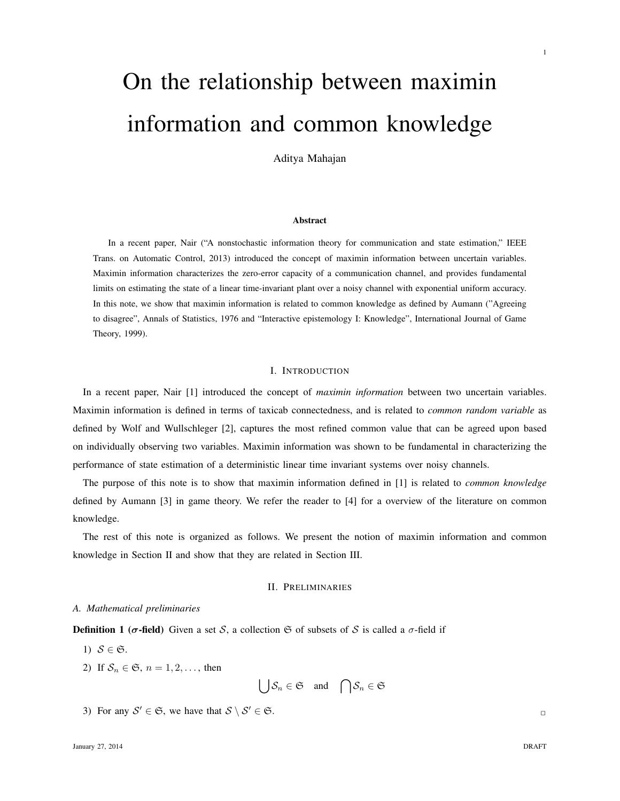# On the relationship between maximin information and common knowledge

Aditya Mahajan

#### Abstract

In a recent paper, Nair ("A nonstochastic information theory for communication and state estimation," IEEE Trans. on Automatic Control, 2013) introduced the concept of maximin information between uncertain variables. Maximin information characterizes the zero-error capacity of a communication channel, and provides fundamental limits on estimating the state of a linear time-invariant plant over a noisy channel with exponential uniform accuracy. In this note, we show that maximin information is related to common knowledge as defined by Aumann ("Agreeing to disagree", Annals of Statistics, 1976 and "Interactive epistemology I: Knowledge", International Journal of Game Theory, 1999).

#### I. INTRODUCTION

In a recent paper, Nair [1] introduced the concept of *maximin information* between two uncertain variables. Maximin information is defined in terms of taxicab connectedness, and is related to *common random variable* as defined by Wolf and Wullschleger [2], captures the most refined common value that can be agreed upon based on individually observing two variables. Maximin information was shown to be fundamental in characterizing the performance of state estimation of a deterministic linear time invariant systems over noisy channels.

The purpose of this note is to show that maximin information defined in [1] is related to *common knowledge* defined by Aumann [3] in game theory. We refer the reader to [4] for a overview of the literature on common knowledge.

The rest of this note is organized as follows. We present the notion of maximin information and common knowledge in Section II and show that they are related in Section III.

#### II. PRELIMINARIES

#### *A. Mathematical preliminaries*

**Definition 1 (** $\sigma$ **-field)** Given a set S, a collection G of subsets of S is called a  $\sigma$ -field if

- 1)  $S \in \mathfrak{S}$ .
- 2) If  $S_n \in \mathfrak{S}$ ,  $n = 1, 2, \ldots$ , then

$$
\bigcup \mathcal{S}_n \in \mathfrak{S} \quad \text{and} \quad \bigcap \mathcal{S}_n \in \mathfrak{S}
$$

3) For any  $S' \in \mathfrak{S}$ , we have that  $S \setminus S' \in \mathfrak{S}$ .

1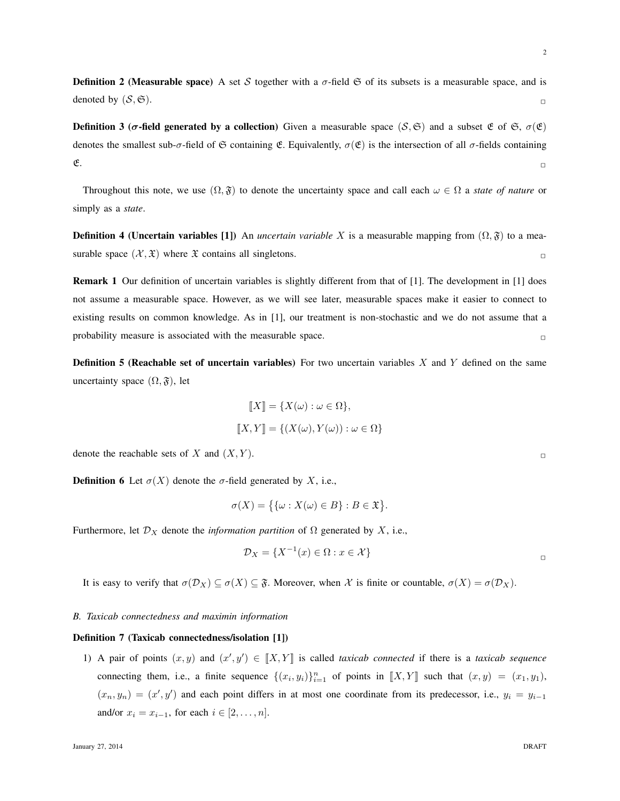**Definition 2 (Measurable space)** A set S together with a  $\sigma$ -field  $\mathfrak{S}$  of its subsets is a measurable space, and is denoted by  $(S, \mathfrak{S}).$ 

**Definition 3 (σ-field generated by a collection)** Given a measurable space (S,  $\mathfrak{S}$ ) and a subset  $\mathfrak{E}$  of  $\mathfrak{S}$ ,  $\sigma(\mathfrak{E})$ denotes the smallest sub- $\sigma$ -field of  $\mathfrak S$  containing  $\mathfrak E$ . Equivalently,  $\sigma(\mathfrak E)$  is the intersection of all  $\sigma$ -fields containing  $\mathfrak{E}.$ 

Throughout this note, we use  $(\Omega, \mathfrak{F})$  to denote the uncertainty space and call each  $\omega \in \Omega$  a *state of nature* or simply as a *state*.

**Definition 4 (Uncertain variables [1])** An *uncertain variable* X is a measurable mapping from  $(\Omega, \mathfrak{F})$  to a measurable space  $(\mathcal{X}, \mathfrak{X})$  where  $\mathfrak{X}$  contains all singletons.

Remark 1 Our definition of uncertain variables is slightly different from that of [1]. The development in [1] does not assume a measurable space. However, as we will see later, measurable spaces make it easier to connect to existing results on common knowledge. As in [1], our treatment is non-stochastic and we do not assume that a probability measure is associated with the measurable space.  $\Box$ 

**Definition 5 (Reachable set of uncertain variables)** For two uncertain variables  $X$  and  $Y$  defined on the same uncertainty space  $(\Omega, \mathfrak{F})$ , let

$$
\llbracket X \rrbracket = \{ X(\omega) : \omega \in \Omega \},
$$
  

$$
\llbracket X, Y \rrbracket = \{ (X(\omega), Y(\omega)) : \omega \in \Omega \}
$$

denote the reachable sets of X and  $(X, Y)$ .

**Definition 6** Let  $\sigma(X)$  denote the  $\sigma$ -field generated by X, i.e.,

$$
\sigma(X) = \{ \{\omega : X(\omega) \in B \} : B \in \mathfrak{X} \}.
$$

Furthermore, let  $\mathcal{D}_X$  denote the *information partition* of  $\Omega$  generated by X, i.e.,

$$
\mathcal{D}_X = \{ X^{-1}(x) \in \Omega : x \in \mathcal{X} \}
$$

It is easy to verify that  $\sigma(\mathcal{D}_X) \subseteq \sigma(X) \subseteq \mathfrak{F}$ . Moreover, when X is finite or countable,  $\sigma(X) = \sigma(\mathcal{D}_X)$ .

## *B. Taxicab connectedness and maximin information*

#### Definition 7 (Taxicab connectedness/isolation [1])

1) A pair of points  $(x, y)$  and  $(x', y') \in [[X, Y]]$  is called *taxicab connected* if there is a *taxicab sequence* connecting them, i.e., a finite sequence  $\{(x_i, y_i)\}_{i=1}^n$  of points in  $\llbracket X, Y \rrbracket$  such that  $(x, y) = (x_1, y_1)$ ,  $(x_n, y_n) = (x', y')$  and each point differs in at most one coordinate from its predecessor, i.e.,  $y_i = y_{i-1}$ and/or  $x_i = x_{i-1}$ , for each  $i \in [2, \ldots, n]$ .

2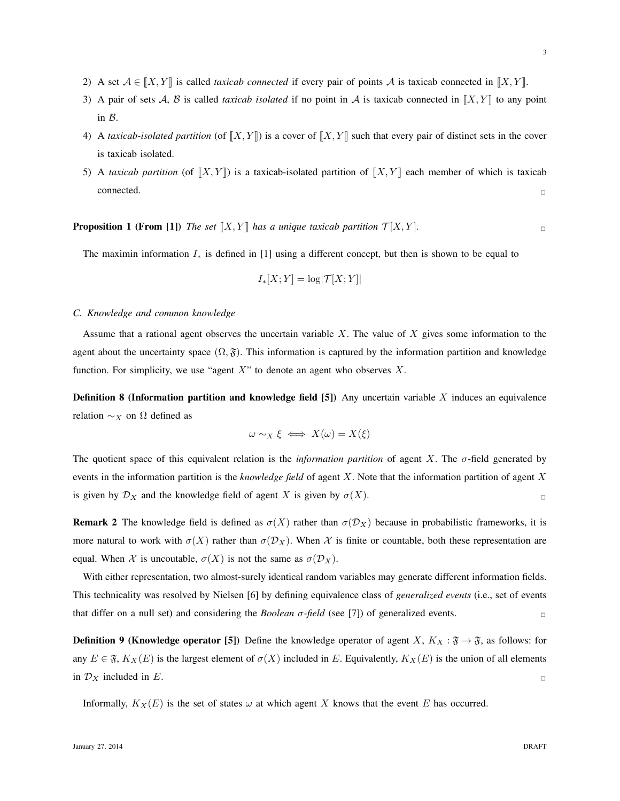- 3) A pair of sets A, B is called *taxicab isolated* if no point in A is taxicab connected in  $[[X, Y]]$  to any point in B.
- 4) A *taxicab-isolated partition* (of  $[[X, Y]]$ ) is a cover of  $[[X, Y]]$  such that every pair of distinct sets in the cover is taxicab isolated.
- 5) A *taxicab partition* (of  $[[X, Y]]$ ) is a taxicab-isolated partition of  $[[X, Y]]$  each member of which is taxicab  $\Box$ connected.  $\Box$

**Proposition 1 (From [1])** *The set*  $[X, Y]$  *has a unique taxicab partition*  $\mathcal{T}[X, Y]$ *.* 

The maximin information  $I_*$  is defined in [1] using a different concept, but then is shown to be equal to

$$
I_*[X;Y] = \log |{\mathcal{T}}[X;Y]|
$$

#### *C. Knowledge and common knowledge*

Assume that a rational agent observes the uncertain variable  $X$ . The value of  $X$  gives some information to the agent about the uncertainty space  $(\Omega, \mathfrak{F})$ . This information is captured by the information partition and knowledge function. For simplicity, we use "agent  $X$ " to denote an agent who observes  $X$ .

**Definition 8 (Information partition and knowledge field [5])** Any uncertain variable  $X$  induces an equivalence relation  $\sim_X$  on  $\Omega$  defined as

$$
\omega \sim_X \xi \iff X(\omega) = X(\xi)
$$

The quotient space of this equivalent relation is the *information partition* of agent X. The σ-field generated by events in the information partition is the *knowledge field* of agent X. Note that the information partition of agent X is given by  $\mathcal{D}_X$  and the knowledge field of agent X is given by  $\sigma(X)$ .

**Remark 2** The knowledge field is defined as  $\sigma(X)$  rather than  $\sigma(\mathcal{D}_X)$  because in probabilistic frameworks, it is more natural to work with  $\sigma(X)$  rather than  $\sigma(\mathcal{D}_X)$ . When X is finite or countable, both these representation are equal. When X is uncoutable,  $\sigma(X)$  is not the same as  $\sigma(\mathcal{D}_X)$ .

With either representation, two almost-surely identical random variables may generate different information fields. This technicality was resolved by Nielsen [6] by defining equivalence class of *generalized events* (i.e., set of events that differ on a null set) and considering the *Boolean*  $\sigma$ -field (see [7]) of generalized events.

**Definition 9 (Knowledge operator [5])** Define the knowledge operator of agent X,  $K_X : \mathfrak{F} \to \mathfrak{F}$ , as follows: for any  $E \in \mathfrak{F}$ ,  $K_X(E)$  is the largest element of  $\sigma(X)$  included in E. Equivalently,  $K_X(E)$  is the union of all elements in  $\mathcal{D}_X$  included in E.

Informally,  $K_X(E)$  is the set of states  $\omega$  at which agent X knows that the event E has occurred.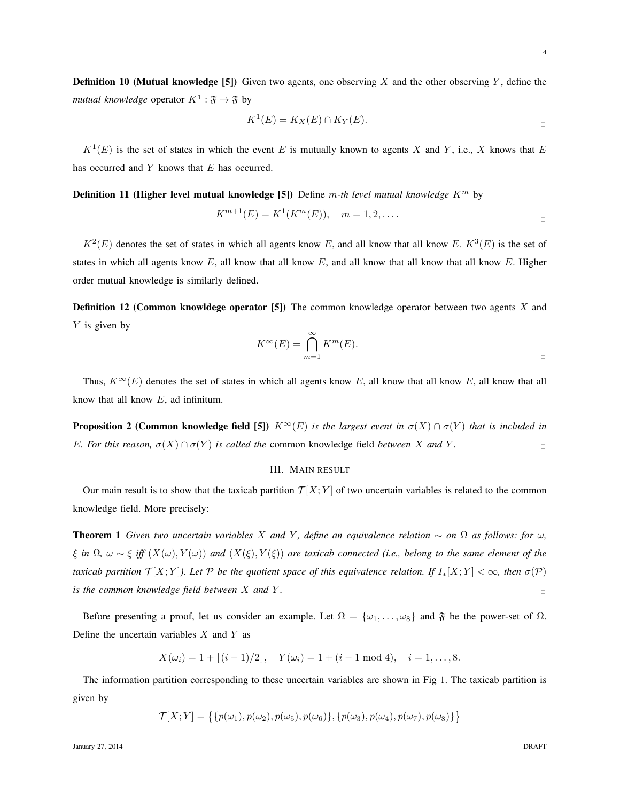4

**Definition 10 (Mutual knowledge [5])** Given two agents, one observing X and the other observing Y, define the *mutual knowledge* operator  $K^1 : \mathfrak{F} \to \mathfrak{F}$  by

$$
K^1(E) = K_X(E) \cap K_Y(E).
$$

 $K^1(E)$  is the set of states in which the event E is mutually known to agents X and Y, i.e., X knows that E has occurred and Y knows that E has occurred.

Definition 11 (Higher level mutual knowledge [5]) Define m*-th level mutual knowledge* K<sup>m</sup> by

$$
K^{m+1}(E) = K^1(K^m(E)), \quad m = 1, 2, ....
$$

 $K^2(E)$  denotes the set of states in which all agents know E, and all know that all know E.  $K^3(E)$  is the set of states in which all agents know  $E$ , all know that all know  $E$ , and all know that all know that all know  $E$ . Higher order mutual knowledge is similarly defined.

**Definition 12 (Common knowldege operator [5])** The common knowledge operator between two agents X and  $Y$  is given by

$$
K^{\infty}(E) = \bigcap_{m=1}^{\infty} K^m(E).
$$

Thus,  $K^{\infty}(E)$  denotes the set of states in which all agents know E, all know that all know E, all know that all know that all know  $E$ , ad infinitum.

**Proposition 2 (Common knowledge field [5])**  $K^{\infty}(E)$  *is the largest event in*  $\sigma(X) \cap \sigma(Y)$  *that is included in E. For this reason,*  $\sigma(X) \cap \sigma(Y)$  *is called the* common knowledge field *between* X *and* Y.

## III. MAIN RESULT

Our main result is to show that the taxicab partition  $\mathcal{T}[X;Y]$  of two uncertain variables is related to the common knowledge field. More precisely:

**Theorem 1** *Given two uncertain variables* X *and* Y, define an equivalence relation  $\sim$  on  $\Omega$  as follows: for  $\omega$ ,  $\xi$  *in*  $\Omega$ ,  $\omega \sim \xi$  *iff*  $(X(\omega), Y(\omega))$  *and*  $(X(\xi), Y(\xi))$  *are taxicab connected (i.e., belong to the same element of the taxicab partition*  $\mathcal{T}[X;Y]$ *). Let*  $\mathcal P$  *be the quotient space of this equivalence relation. If*  $I_*[X;Y] < \infty$ *, then*  $\sigma(\mathcal P)$ *is the common knowledge field between*  $X$  *and*  $Y$ *.*  $\Box$ 

Before presenting a proof, let us consider an example. Let  $\Omega = {\omega_1, \dots, \omega_8}$  and  $\mathfrak F$  be the power-set of  $\Omega$ . Define the uncertain variables  $X$  and  $Y$  as

$$
X(\omega_i) = 1 + \lfloor (i-1)/2 \rfloor
$$
,  $Y(\omega_i) = 1 + (i-1 \mod 4)$ ,  $i = 1, ..., 8$ .

The information partition corresponding to these uncertain variables are shown in Fig 1. The taxicab partition is given by

$$
\mathcal{T}[X;Y] = \{ \{ p(\omega_1), p(\omega_2), p(\omega_5), p(\omega_6) \}, \{ p(\omega_3), p(\omega_4), p(\omega_7), p(\omega_8) \} \}
$$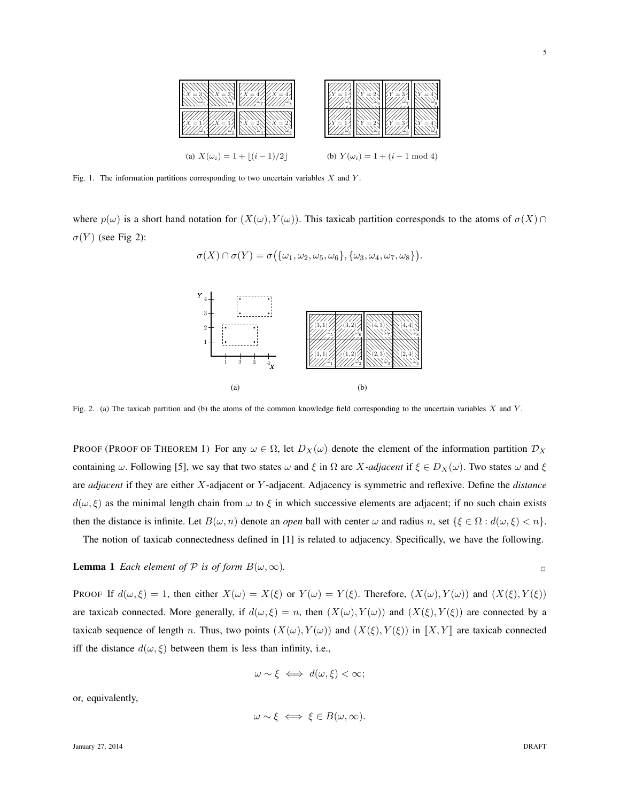

Fig. 1. The information partitions corresponding to two uncertain variables  $X$  and  $Y$ .

where  $p(\omega)$  is a short hand notation for  $(X(\omega), Y(\omega))$ . This taxicab partition corresponds to the atoms of  $\sigma(X) \cap$  $\sigma(Y)$  (see Fig 2):

 $\sigma(X) \cap \sigma(Y) = \sigma\big(\{\omega_1, \omega_2, \omega_5, \omega_6\}, \{\omega_3, \omega_4, \omega_7, \omega_8\}\big).$ 



Fig. 2. (a) The taxicab partition and (b) the atoms of the common knowledge field corresponding to the uncertain variables  $X$  and  $Y$ .

PROOF (PROOF OF THEOREM 1) For any  $\omega \in \Omega$ , let  $D_X(\omega)$  denote the element of the information partition  $\mathcal{D}_X$ containing  $\omega$ . Following [5], we say that two states  $\omega$  and  $\xi$  in  $\Omega$  are X-adjacent if  $\xi \in D_X(\omega)$ . Two states  $\omega$  and  $\xi$ are *adjacent* if they are either X-adjacent or Y -adjacent. Adjacency is symmetric and reflexive. Define the *distance*  $d(\omega, \xi)$  as the minimal length chain from  $\omega$  to  $\xi$  in which successive elements are adjacent; if no such chain exists then the distance is infinite. Let  $B(\omega, n)$  denote an *open* ball with center  $\omega$  and radius n, set  $\{\xi \in \Omega : d(\omega, \xi) < n\}.$ 

The notion of taxicab connectedness defined in [1] is related to adjacency. Specifically, we have the following.

# **Lemma 1** *Each element of*  $P$  *is of form*  $B(\omega, \infty)$ *.*

PROOF If  $d(\omega, \xi) = 1$ , then either  $X(\omega) = X(\xi)$  or  $Y(\omega) = Y(\xi)$ . Therefore,  $(X(\omega), Y(\omega))$  and  $(X(\xi), Y(\xi))$ are taxicab connected. More generally, if  $d(\omega, \xi) = n$ , then  $(X(\omega), Y(\omega))$  and  $(X(\xi), Y(\xi))$  are connected by a taxicab sequence of length n. Thus, two points  $(X(\omega), Y(\omega))$  and  $(X(\xi), Y(\xi))$  in  $\llbracket X, Y \rrbracket$  are taxicab connected iff the distance  $d(\omega, \xi)$  between them is less than infinity, i.e.,

$$
\omega \sim \xi \iff d(\omega, \xi) < \infty;
$$

or, equivalently,

$$
\omega \sim \xi \iff \xi \in B(\omega, \infty).
$$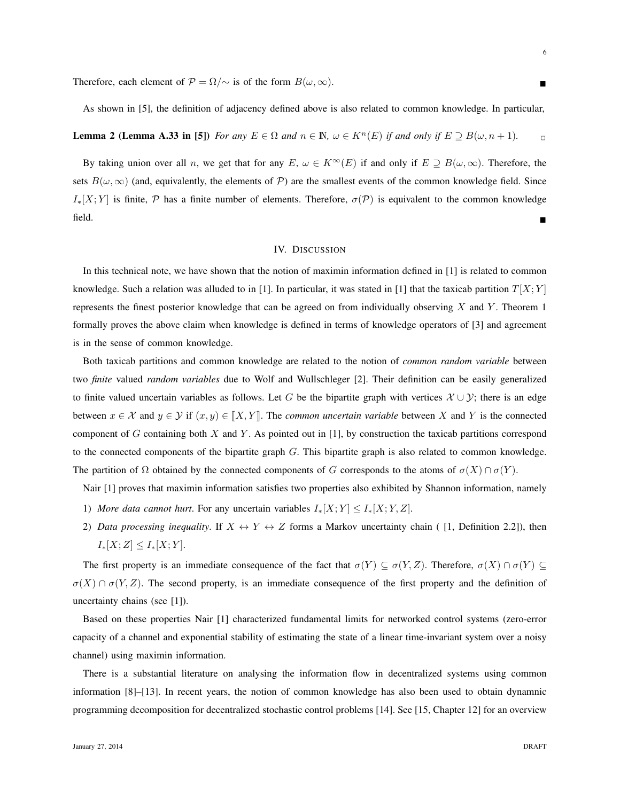Therefore, each element of  $\mathcal{P} = \Omega/\sim$  is of the form  $B(\omega, \infty)$ .

**Lemma 2 (Lemma A.33 in [5])** *For any*  $E \in \Omega$  *and*  $n \in \mathbb{N}$ ,  $\omega \in K^n(E)$  *if and only if*  $E \supseteq B(\omega, n+1)$ .

By taking union over all n, we get that for any E,  $\omega \in K^{\infty}(E)$  if and only if  $E \supseteq B(\omega, \infty)$ . Therefore, the sets  $B(\omega, \infty)$  (and, equivalently, the elements of P) are the smallest events of the common knowledge field. Since  $I_{*}[X;Y]$  is finite, P has a finite number of elements. Therefore,  $\sigma(\mathcal{P})$  is equivalent to the common knowledge field.

# IV. DISCUSSION

In this technical note, we have shown that the notion of maximin information defined in [1] is related to common knowledge. Such a relation was alluded to in [1]. In particular, it was stated in [1] that the taxicab partition  $T[X; Y]$ represents the finest posterior knowledge that can be agreed on from individually observing  $X$  and  $Y$ . Theorem 1 formally proves the above claim when knowledge is defined in terms of knowledge operators of [3] and agreement is in the sense of common knowledge.

Both taxicab partitions and common knowledge are related to the notion of *common random variable* between two *finite* valued *random variables* due to Wolf and Wullschleger [2]. Their definition can be easily generalized to finite valued uncertain variables as follows. Let G be the bipartite graph with vertices  $\mathcal{X} \cup \mathcal{Y}$ ; there is an edge between  $x \in \mathcal{X}$  and  $y \in \mathcal{Y}$  if  $(x, y) \in [X, Y]$ . The *common uncertain variable* between X and Y is the connected component of  $G$  containing both  $X$  and  $Y$ . As pointed out in [1], by construction the taxicab partitions correspond to the connected components of the bipartite graph  $G$ . This bipartite graph is also related to common knowledge. The partition of  $\Omega$  obtained by the connected components of G corresponds to the atoms of  $\sigma(X) \cap \sigma(Y)$ .

Nair [1] proves that maximin information satisfies two properties also exhibited by Shannon information, namely

- 1) *More data cannot hurt*. For any uncertain variables  $I_*[X;Y] \leq I_*[X;Y,Z]$ .
- 2) *Data processing inequality*. If  $X \leftrightarrow Y \leftrightarrow Z$  forms a Markov uncertainty chain ([1, Definition 2.2]), then  $I_*[X;Z] \leq I_*[X;Y].$

The first property is an immediate consequence of the fact that  $\sigma(Y) \subseteq \sigma(Y, Z)$ . Therefore,  $\sigma(X) \cap \sigma(Y) \subseteq$  $\sigma(X) \cap \sigma(Y, Z)$ . The second property, is an immediate consequence of the first property and the definition of uncertainty chains (see [1]).

Based on these properties Nair [1] characterized fundamental limits for networked control systems (zero-error capacity of a channel and exponential stability of estimating the state of a linear time-invariant system over a noisy channel) using maximin information.

There is a substantial literature on analysing the information flow in decentralized systems using common information [8]–[13]. In recent years, the notion of common knowledge has also been used to obtain dynamnic programming decomposition for decentralized stochastic control problems [14]. See [15, Chapter 12] for an overview